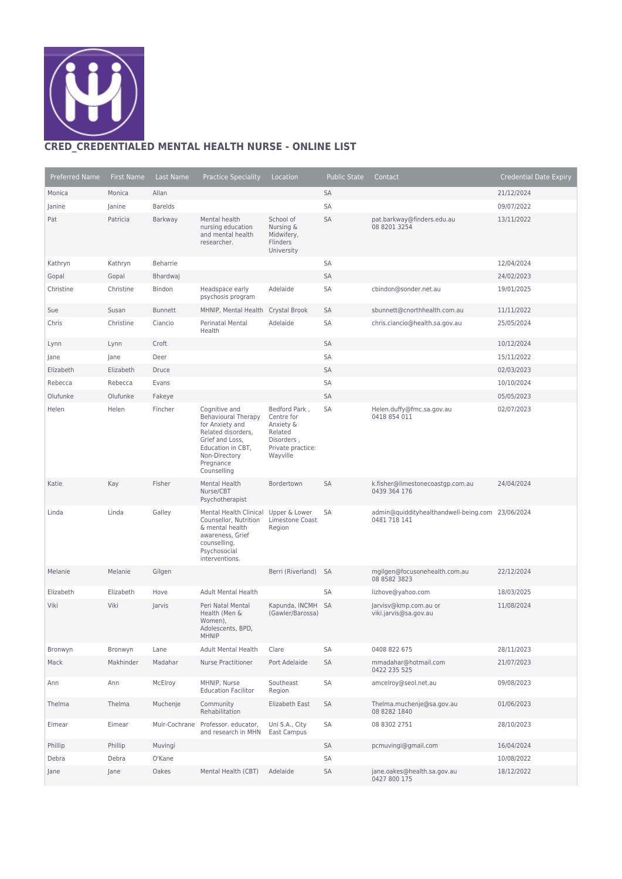

## **CRED\_CREDENTIALED MENTAL HEALTH NURSE - ONLINE LIST**

| Preferred Name | First Name | Last Name      | <b>Practice Speciality</b>                                                                                                                                                | Location                                                                                           | <b>Public State</b> | Contact                                                          | <b>Credential Date Expiry</b> |
|----------------|------------|----------------|---------------------------------------------------------------------------------------------------------------------------------------------------------------------------|----------------------------------------------------------------------------------------------------|---------------------|------------------------------------------------------------------|-------------------------------|
| Monica         | Monica     | Allan          |                                                                                                                                                                           |                                                                                                    | SA                  |                                                                  | 21/12/2024                    |
| Janine         | Janine     | <b>Barelds</b> |                                                                                                                                                                           |                                                                                                    | SA                  |                                                                  | 09/07/2022                    |
| Pat            | Patricia   | Barkway        | Mental health<br>nursing education<br>and mental health<br>researcher.                                                                                                    | School of<br>Nursing &<br>Midwifery,<br>Flinders<br>University                                     | <b>SA</b>           | pat.barkway@finders.edu.au<br>08 8201 3254                       | 13/11/2022                    |
| Kathryn        | Kathryn    | Beharrie       |                                                                                                                                                                           |                                                                                                    | SA                  |                                                                  | 12/04/2024                    |
| Gopal          | Gopal      | Bhardwai       |                                                                                                                                                                           |                                                                                                    | SA                  |                                                                  | 24/02/2023                    |
| Christine      | Christine  | <b>Bindon</b>  | Headspace early<br>psychosis program                                                                                                                                      | Adelaide                                                                                           | SA                  | cbindon@sonder.net.au                                            | 19/01/2025                    |
| Sue            | Susan      | <b>Bunnett</b> | MHNIP, Mental Health                                                                                                                                                      | Crystal Brook                                                                                      | SA                  | sbunnett@cnorthhealth.com.au                                     | 11/11/2022                    |
| Chris          | Christine  | Ciancio        | Perinatal Mental<br>Health                                                                                                                                                | Adelaide                                                                                           | SA                  | chris.ciancio@health.sa.gov.au                                   | 25/05/2024                    |
| Lynn           | Lynn       | Croft          |                                                                                                                                                                           |                                                                                                    | SA                  |                                                                  | 10/12/2024                    |
| Jane           | Jane       | Deer           |                                                                                                                                                                           |                                                                                                    | SA                  |                                                                  | 15/11/2022                    |
| Elizabeth      | Elizabeth  | Druce          |                                                                                                                                                                           |                                                                                                    | SA                  |                                                                  | 02/03/2023                    |
| Rebecca        | Rebecca    | Evans          |                                                                                                                                                                           |                                                                                                    | SA                  |                                                                  | 10/10/2024                    |
| Olufunke       | Olufunke   | Fakeye         |                                                                                                                                                                           |                                                                                                    | SA                  |                                                                  | 05/05/2023                    |
| Helen          | Helen      | Fincher        | Cognitive and<br><b>Behavioural Therapy</b><br>for Anxiety and<br>Related disorders,<br>Grief and Loss,<br>Education in CBT,<br>Non-Directory<br>Pregnance<br>Counselling | Bedford Park,<br>Centre for<br>Anxiety &<br>Related<br>Disorders,<br>Private practice:<br>Wayville | SA                  | Helen.duffy@fmc.sa.gov.au<br>0418 854 011                        | 02/07/2023                    |
| Katie          | Kay        | Fisher         | Mental Health<br>Nurse/CBT<br>Psychotherapist                                                                                                                             | Bordertown                                                                                         | <b>SA</b>           | k.fisher@limestonecoastgp.com.au<br>0439 364 176                 | 24/04/2024                    |
| Linda          | Linda      | Galley         | Mental Health Clinical<br>Counsellor, Nutrition<br>& mental health<br>awareness, Grief<br>counselling,<br>Psychosocial<br>interventions.                                  | Upper & Lower<br>Limestone Coast<br>Region                                                         | SA                  | admin@quiddityhealthandwell-being.com 23/06/2024<br>0481 718 141 |                               |
| Melanie        | Melanie    | Gilgen         |                                                                                                                                                                           | Berri (Riverland)                                                                                  | SA                  | mgilgen@focusonehealth.com.au<br>08 8582 3823                    | 22/12/2024                    |
| Elizabeth      | Elizabeth  | Hove           | <b>Adult Mental Health</b>                                                                                                                                                |                                                                                                    | SA                  | lizhove@yahoo.com                                                | 18/03/2025                    |
| Viki           | Viki       | Jarvis         | Peri Natal Mental<br>Health (Men &<br>Women),<br>Adolescents, BPD,<br><b>MHNIP</b>                                                                                        | Kapunda, INCMH SA<br>(Gawler/Barossa)                                                              |                     | Jarvisv@kmp.com.au or<br>viki.jarvis@sa.gov.au                   | 11/08/2024                    |
| Bronwyn        | Bronwyn    | Lane           | <b>Adult Mental Health</b>                                                                                                                                                | Clare                                                                                              | SA                  | 0408 822 675                                                     | 28/11/2023                    |
| Mack           | Makhinder  | Madahar        | <b>Nurse Practitioner</b>                                                                                                                                                 | Port Adelaide                                                                                      | SA                  | mmadahar@hotmail.com<br>0422 235 525                             | 21/07/2023                    |
| Ann            | Ann        | McElroy        | MHNIP, Nurse<br><b>Education Facilitor</b>                                                                                                                                | Southeast<br>Region                                                                                | SA                  | amcelroy@seol.net.au                                             | 09/08/2023                    |
| Thelma         | Thelma     | Muchenje       | Community<br>Rehabilitation                                                                                                                                               | Elizabeth East                                                                                     | SA                  | Thelma.muchenje@sa.gov.au<br>08 8282 1840                        | 01/06/2023                    |
| Eimear         | Eimear     |                | Muir-Cochrane Professor, educator.<br>and research in MHN                                                                                                                 | Uni S.A., City<br>East Campus                                                                      | SA                  | 08 8302 2751                                                     | 28/10/2023                    |
| Phillip        | Phillip    | Muvingi        |                                                                                                                                                                           |                                                                                                    | SA                  | pcmuvingi@gmail.com                                              | 16/04/2024                    |
| Debra          | Debra      | O'Kane         |                                                                                                                                                                           |                                                                                                    | SA                  |                                                                  | 10/08/2022                    |
| Jane           | Jane       | Oakes          | Mental Health (CBT)                                                                                                                                                       | Adelaide                                                                                           | SA                  | jane.oakes@health.sa.gov.au<br>0427 800 175                      | 18/12/2022                    |